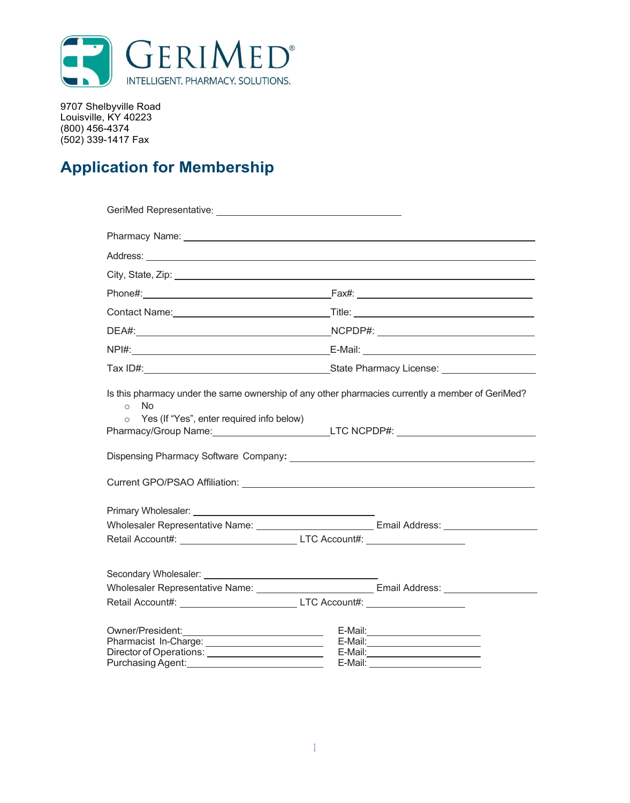

9707 Shelbyville Road Louisville, KY 40223 (800) 456-4374 (502) 339-1417 Fax

## **Application for Membership**

| Pharmacy Name: Note: 2008 and 2009 and 2009 and 2009 and 2009 and 2009 and 2009 and 2009 and 2009 and 2009 and |                                                                                                                                                                                                                                     |
|----------------------------------------------------------------------------------------------------------------|-------------------------------------------------------------------------------------------------------------------------------------------------------------------------------------------------------------------------------------|
|                                                                                                                | Address: <u>Address:</u> Address: Address: Address: Address: Address: Address: Address: Address: Address: Address: Address: Address: Address: Address: Address: Address: Address: Address: Address: Address: Address: Address: Addr |
|                                                                                                                |                                                                                                                                                                                                                                     |
|                                                                                                                |                                                                                                                                                                                                                                     |
|                                                                                                                |                                                                                                                                                                                                                                     |
|                                                                                                                |                                                                                                                                                                                                                                     |
|                                                                                                                |                                                                                                                                                                                                                                     |
|                                                                                                                |                                                                                                                                                                                                                                     |
| ○ Yes (If "Yes", enter required info below)                                                                    | Pharmacy/Group Name: __________________________LTC NCPDP#: _____________________                                                                                                                                                    |
| Retail Account#: ______________________________LTC Account#: ___________________                               | Wholesaler Representative Name: Van American Control Email Address: Van American Control of Tennis Address: Van American Control of Tennis Address: Van American Control of Tennis Address: Van American Control of Tennis Add      |
| Retail Account#: ______________________________LTC Account#: ___________________                               |                                                                                                                                                                                                                                     |
| Director of Operations: _________________________<br>Purchasing Agent:                                         | E-Mail:____________________________<br>E-Mail:                                                                                                                                                                                      |